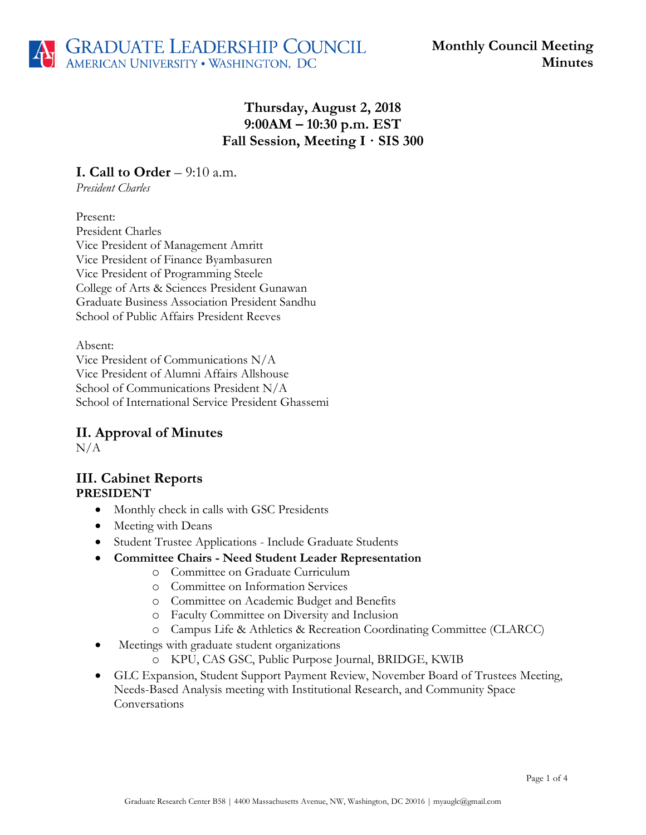

# **Thursday, August 2, 2018 9:00AM – 10:30 p.m. EST Fall Session, Meeting I · SIS 300**

**I. Call to Order** – 9:10 a.m.

*President Charles*

Present: President Charles Vice President of Management Amritt Vice President of Finance Byambasuren Vice President of Programming Steele College of Arts & Sciences President Gunawan Graduate Business Association President Sandhu School of Public Affairs President Reeves

Absent: Vice President of Communications N/A Vice President of Alumni Affairs Allshouse School of Communications President N/A School of International Service President Ghassemi

# **II. Approval of Minutes**

 $N/A$ 

### **III. Cabinet Reports PRESIDENT**

- Monthly check in calls with GSC Presidents
- Meeting with Deans
- Student Trustee Applications Include Graduate Students
- **Committee Chairs - Need Student Leader Representation**
	- o Committee on Graduate Curriculum
	- o Committee on Information Services
	- o Committee on Academic Budget and Benefits
	- o Faculty Committee on Diversity and Inclusion
	- o Campus Life & Athletics & Recreation Coordinating Committee (CLARCC)
- Meetings with graduate student organizations
	- o KPU, CAS GSC, Public Purpose Journal, BRIDGE, KWIB
- GLC Expansion, Student Support Payment Review, November Board of Trustees Meeting, Needs-Based Analysis meeting with Institutional Research, and Community Space Conversations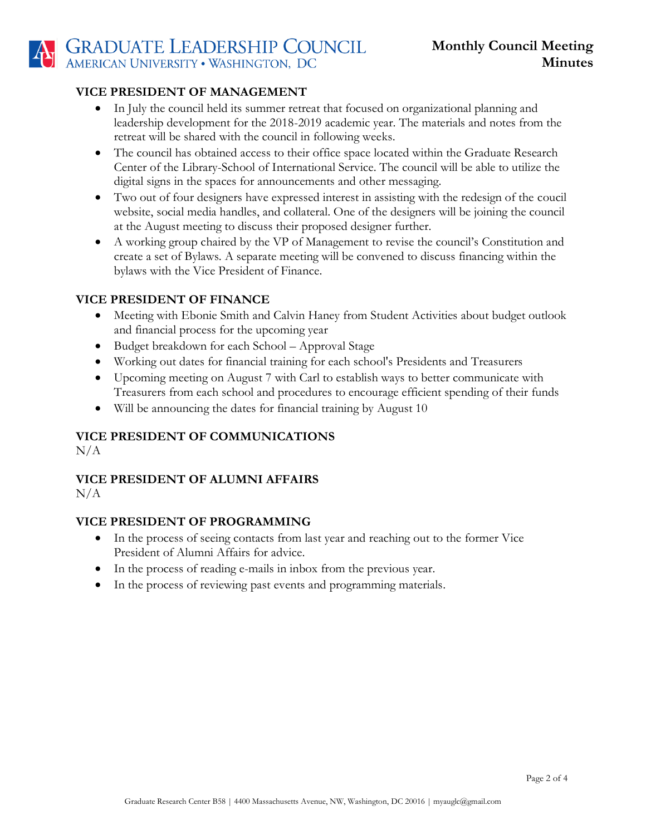#### **VICE PRESIDENT OF MANAGEMENT**

- In July the council held its summer retreat that focused on organizational planning and leadership development for the 2018-2019 academic year. The materials and notes from the retreat will be shared with the council in following weeks.
- The council has obtained access to their office space located within the Graduate Research Center of the Library-School of International Service. The council will be able to utilize the digital signs in the spaces for announcements and other messaging.
- Two out of four designers have expressed interest in assisting with the redesign of the coucil website, social media handles, and collateral. One of the designers will be joining the council at the August meeting to discuss their proposed designer further.
- A working group chaired by the VP of Management to revise the council's Constitution and create a set of Bylaws. A separate meeting will be convened to discuss financing within the bylaws with the Vice President of Finance.

#### **VICE PRESIDENT OF FINANCE**

- Meeting with Ebonie Smith and Calvin Haney from Student Activities about budget outlook and financial process for the upcoming year
- Budget breakdown for each School Approval Stage
- Working out dates for financial training for each school's Presidents and Treasurers
- Upcoming meeting on August 7 with Carl to establish ways to better communicate with Treasurers from each school and procedures to encourage efficient spending of their funds
- Will be announcing the dates for financial training by August 10

#### **VICE PRESIDENT OF COMMUNICATIONS**

 $N/A$ 

# **VICE PRESIDENT OF ALUMNI AFFAIRS**

N/A

#### **VICE PRESIDENT OF PROGRAMMING**

- In the process of seeing contacts from last year and reaching out to the former Vice President of Alumni Affairs for advice.
- In the process of reading e-mails in inbox from the previous year.
- In the process of reviewing past events and programming materials.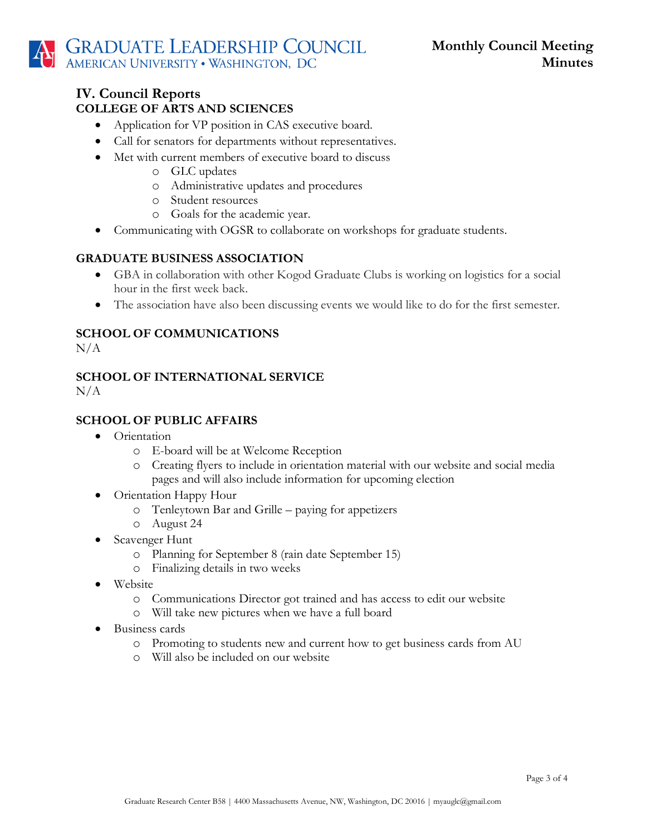### **IV. Council Reports COLLEGE OF ARTS AND SCIENCES**

- Application for VP position in CAS executive board.
- Call for senators for departments without representatives.
- Met with current members of executive board to discuss
	- o GLC updates
	- o Administrative updates and procedures
	- o Student resources
	- o Goals for the academic year.
- Communicating with OGSR to collaborate on workshops for graduate students.

#### **GRADUATE BUSINESS ASSOCIATION**

- GBA in collaboration with other Kogod Graduate Clubs is working on logistics for a social hour in the first week back.
- The association have also been discussing events we would like to do for the first semester.

# **SCHOOL OF COMMUNICATIONS**

 $N/A$ 

#### **SCHOOL OF INTERNATIONAL SERVICE**   $N/A$

#### **SCHOOL OF PUBLIC AFFAIRS**

- Orientation
	- o E-board will be at Welcome Reception
	- o Creating flyers to include in orientation material with our website and social media pages and will also include information for upcoming election
- Orientation Happy Hour
	- o Tenleytown Bar and Grille paying for appetizers
	- o August 24
- Scavenger Hunt
	- o Planning for September 8 (rain date September 15)
	- o Finalizing details in two weeks
- Website
	- o Communications Director got trained and has access to edit our website
	- o Will take new pictures when we have a full board
- Business cards
	- o Promoting to students new and current how to get business cards from AU
	- o Will also be included on our website